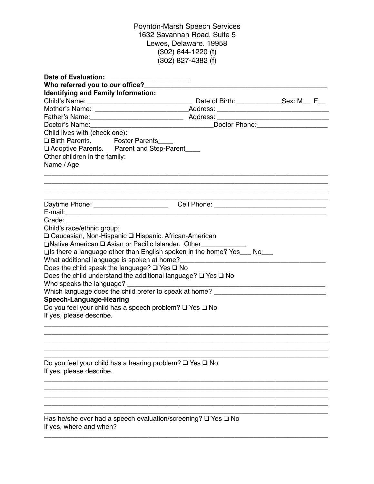## Poynton-Marsh Speech Services 1632 Savannah Road, Suite 5 Lewes, Delaware. 19958 (302) 644-1220 (t) (302) 827-4382 (f)

| <b>Date of Evaluation:</b>                                                                           |                                             |  |
|------------------------------------------------------------------------------------------------------|---------------------------------------------|--|
| Who referred you to our office?                                                                      |                                             |  |
| <b>Identifying and Family Information:</b>                                                           |                                             |  |
|                                                                                                      |                                             |  |
|                                                                                                      |                                             |  |
|                                                                                                      |                                             |  |
|                                                                                                      | Doctor Phone: <u>______________________</u> |  |
| Child lives with (check one):                                                                        |                                             |  |
| □ Birth Parents. Foster Parents                                                                      |                                             |  |
| □ Adoptive Parents. Parent and Step-Parent____                                                       |                                             |  |
| Other children in the family:                                                                        |                                             |  |
| Name / Age                                                                                           |                                             |  |
|                                                                                                      |                                             |  |
| Daytime Phone: _________________________ Cell Phone: ___________________________                     |                                             |  |
|                                                                                                      |                                             |  |
|                                                                                                      |                                             |  |
| Child's race/ethnic group:                                                                           |                                             |  |
| □ Caucasian, Non-Hispanic □ Hispanic. African-American                                               |                                             |  |
| □Native American □ Asian or Pacific Islander. Other                                                  |                                             |  |
| $\square$ is there a language other than English spoken in the home? Yes___ No___                    |                                             |  |
|                                                                                                      |                                             |  |
| Does the child speak the language? $\square$ Yes $\square$ No                                        |                                             |  |
| Does the child understand the additional language? $\square$ Yes $\square$ No                        |                                             |  |
|                                                                                                      |                                             |  |
| Which language does the child prefer to speak at home? _________________________                     |                                             |  |
| <b>Speech-Language-Hearing</b>                                                                       |                                             |  |
| Do you feel your child has a speech problem? □ Yes □ No                                              |                                             |  |
| If yes, please describe.                                                                             |                                             |  |
|                                                                                                      |                                             |  |
|                                                                                                      |                                             |  |
| Do you feel your child has a hearing problem? $\square$ Yes $\square$ No<br>If yes, please describe. |                                             |  |
|                                                                                                      |                                             |  |
|                                                                                                      |                                             |  |
|                                                                                                      |                                             |  |
| Has he/she ever had a speech evaluation/screening? Q Yes Q No<br>If yes, where and when?             |                                             |  |
|                                                                                                      |                                             |  |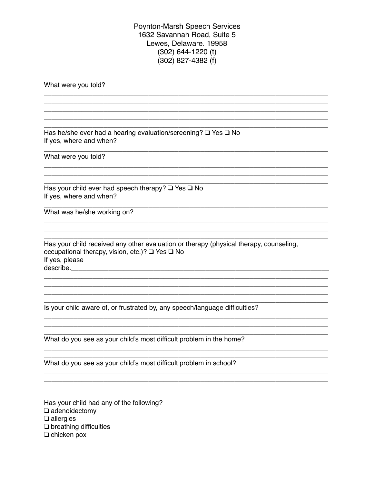**Poynton-Marsh Speech Services** 1632 Savannah Road, Suite 5 Lewes, Delaware, 19958  $(302)$  644-1220 (t)  $(302)$  827-4382 (f)

What were you told?

Has he/she ever had a hearing evaluation/screening?  $\square$  Yes  $\square$  No If yes, where and when?

What were you told?

Has your child ever had speech therapy?  $\Box$  Yes  $\Box$  No If yes, where and when?

What was he/she working on?

Has your child received any other evaluation or therapy (physical therapy, counseling, occupational therapy, vision, etc.)? □ Yes □ No If yes, please 

Is your child aware of, or frustrated by, any speech/language difficulties?

<u> 2000 - Jan James James James James James James James James James James James James James James James James J</u>

What do you see as your child's most difficult problem in the home?

What do you see as your child's most difficult problem in school?

Has your child had any of the following?  $\Box$  adenoidectomy  $\Box$  allergies  $\square$  breathing difficulties  $\Box$  chicken pox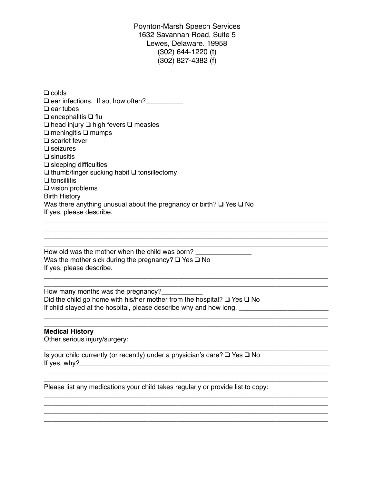Poynton-Marsh Speech Services 1632 Savannah Road, Suite 5 Lewes, Delaware. 19958 (302) 644-1220 (t) (302) 827-4382 (f)

❑ colds ❑ ear infections. If so, how often?\_\_\_\_\_\_\_\_\_\_ ❑ ear tubes ❑ encephalitis ❑ flu ❑ head injury ❑ high fevers ❑ measles ❑ meningitis ❑ mumps ❑ scarlet fever ❑ seizures ❑ sinusitis ❑ sleeping difficulties ❑ thumb/finger sucking habit ❑ tonsillectomy ❑ tonsillitis ❑ vision problems Birth History Was there anything unusual about the pregnancy or birth? ❑ Yes ❑ No If yes, please describe.

 $\mathcal{L}_\mathcal{L} = \{ \mathcal{L}_\mathcal{L} = \{ \mathcal{L}_\mathcal{L} = \{ \mathcal{L}_\mathcal{L} = \{ \mathcal{L}_\mathcal{L} = \{ \mathcal{L}_\mathcal{L} = \{ \mathcal{L}_\mathcal{L} = \{ \mathcal{L}_\mathcal{L} = \{ \mathcal{L}_\mathcal{L} = \{ \mathcal{L}_\mathcal{L} = \{ \mathcal{L}_\mathcal{L} = \{ \mathcal{L}_\mathcal{L} = \{ \mathcal{L}_\mathcal{L} = \{ \mathcal{L}_\mathcal{L} = \{ \mathcal{L}_\mathcal{$ \_\_\_\_\_\_\_\_\_\_\_\_\_\_\_\_\_\_\_\_\_\_\_\_\_\_\_\_\_\_\_\_\_\_\_\_\_\_\_\_\_\_\_\_\_\_\_\_\_\_\_\_\_\_\_\_\_\_\_\_\_\_\_\_\_\_\_\_\_\_\_\_\_\_\_\_ \_\_\_\_\_\_\_\_\_\_\_\_\_\_\_\_\_\_\_\_\_\_\_\_\_\_\_\_\_\_\_\_\_\_\_\_\_\_\_\_\_\_\_\_\_\_\_\_\_\_\_\_\_\_\_\_\_\_\_\_\_\_\_\_\_\_\_\_\_\_\_\_\_\_\_\_

\_\_\_\_\_\_\_\_\_\_\_\_\_\_\_\_\_\_\_\_\_\_\_\_\_\_\_\_\_\_\_\_\_\_\_\_\_\_\_\_\_\_\_\_\_\_\_\_\_\_\_\_\_\_\_\_\_\_\_\_\_\_\_\_\_\_\_\_\_\_\_\_\_\_\_\_

\_\_\_\_\_\_\_\_\_\_\_\_\_\_\_\_\_\_\_\_\_\_\_\_\_\_\_\_\_\_\_\_\_\_\_\_\_\_\_\_\_\_\_\_\_\_\_\_\_\_\_\_\_\_\_\_\_\_\_\_\_\_\_\_\_\_\_\_\_\_\_\_\_\_\_\_

\_\_\_\_\_\_\_\_\_\_\_\_\_\_\_\_\_\_\_\_\_\_\_\_\_\_\_\_\_\_\_\_\_\_\_\_\_\_\_\_\_\_\_\_\_\_\_\_\_\_\_\_\_\_\_\_\_\_\_\_\_\_\_\_\_\_\_\_\_\_\_\_\_\_\_\_

\_\_\_\_\_\_\_\_\_\_\_\_\_\_\_\_\_\_\_\_\_\_\_\_\_\_\_\_\_\_\_\_\_\_\_\_\_\_\_\_\_\_\_\_\_\_\_\_\_\_\_\_\_\_\_\_\_\_\_\_\_\_\_\_\_\_\_\_\_\_\_\_\_\_\_\_ \_\_\_\_\_\_\_\_\_\_\_\_\_\_\_\_\_\_\_\_\_\_\_\_\_\_\_\_\_\_\_\_\_\_\_\_\_\_\_\_\_\_\_\_\_\_\_\_\_\_\_\_\_\_\_\_\_\_\_\_\_\_\_\_\_\_\_\_\_\_\_\_\_\_\_\_

\_\_\_\_\_\_\_\_\_\_\_\_\_\_\_\_\_\_\_\_\_\_\_\_\_\_\_\_\_\_\_\_\_\_\_\_\_\_\_\_\_\_\_\_\_\_\_\_\_\_\_\_\_\_\_\_\_\_\_\_\_\_\_\_\_\_\_\_\_\_\_\_\_\_\_\_ \_\_\_\_\_\_\_\_\_\_\_\_\_\_\_\_\_\_\_\_\_\_\_\_\_\_\_\_\_\_\_\_\_\_\_\_\_\_\_\_\_\_\_\_\_\_\_\_\_\_\_\_\_\_\_\_\_\_\_\_\_\_\_\_\_\_\_\_\_\_\_\_\_\_\_\_ \_\_\_\_\_\_\_\_\_\_\_\_\_\_\_\_\_\_\_\_\_\_\_\_\_\_\_\_\_\_\_\_\_\_\_\_\_\_\_\_\_\_\_\_\_\_\_\_\_\_\_\_\_\_\_\_\_\_\_\_\_\_\_\_\_\_\_\_\_\_\_\_\_\_\_\_ \_\_\_\_\_\_\_\_\_\_\_\_\_\_\_\_\_\_\_\_\_\_\_\_\_\_\_\_\_\_\_\_\_\_\_\_\_\_\_\_\_\_\_\_\_\_\_\_\_\_\_\_\_\_\_\_\_\_\_\_\_\_\_\_\_\_\_\_\_\_\_\_\_\_\_\_

 $\mathcal{L}_\text{max} = \mathcal{L}_\text{max} = \mathcal{L}_\text{max} = \mathcal{L}_\text{max} = \mathcal{L}_\text{max} = \mathcal{L}_\text{max} = \mathcal{L}_\text{max} = \mathcal{L}_\text{max} = \mathcal{L}_\text{max} = \mathcal{L}_\text{max} = \mathcal{L}_\text{max} = \mathcal{L}_\text{max} = \mathcal{L}_\text{max} = \mathcal{L}_\text{max} = \mathcal{L}_\text{max} = \mathcal{L}_\text{max} = \mathcal{L}_\text{max} = \mathcal{L}_\text{max} = \mathcal{$ 

How old was the mother when the child was born? \_\_\_\_\_\_\_\_\_\_\_\_\_\_\_\_\_\_\_\_\_\_\_\_\_\_\_\_\_\_\_\_ Was the mother sick during the pregnancy? □ Yes □ No If yes, please describe.

How many months was the pregnancy? Did the child go home with his/her mother from the hospital? ❑ Yes ❑ No If child stayed at the hospital, please describe why and how long.

**Medical History**

Other serious injury/surgery:

Is your child currently (or recently) under a physician's care? ❑ Yes ❑ No If yes, why?\_\_\_\_\_\_\_\_\_\_\_\_\_\_\_\_\_\_\_\_\_\_\_\_\_\_\_\_\_\_\_\_\_\_\_\_\_\_\_\_\_\_\_\_\_\_\_\_\_\_\_\_\_\_\_\_\_\_\_\_\_\_\_\_\_\_\_

Please list any medications your child takes regularly or provide list to copy: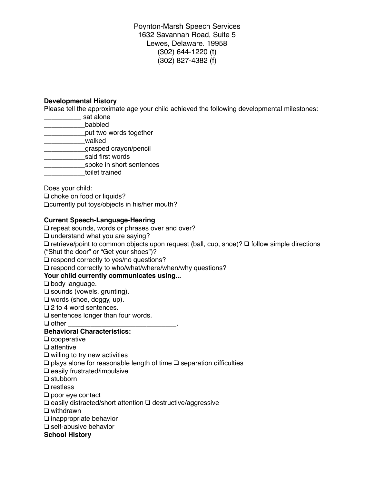Poynton-Marsh Speech Services 1632 Savannah Road, Suite 5 Lewes, Delaware. 19958 (302) 644-1220 (t) (302) 827-4382 (f)

#### **Developmental History**

Please tell the approximate age your child achieved the following developmental milestones:

- **\_\_\_\_\_\_\_\_\_\_\_\_\_\_** sat alone
- \_\_\_\_\_\_\_\_\_\_\_babbled
- **\_\_\_\_\_\_\_\_\_put two words together**
- \_\_\_\_\_\_\_\_\_\_\_walked
- \_\_\_\_\_\_\_\_\_\_\_grasped crayon/pencil
- \_\_\_\_\_\_\_\_\_\_\_said first words
- **\_\_\_\_\_\_\_\_\_\_\_\_spoke in short sentences**
- \_\_\_\_\_\_\_\_\_\_\_toilet trained

Does your child:

❑ choke on food or liquids? ❑currently put toys/objects in his/her mouth?

### **Current Speech-Language-Hearing**

❑ repeat sounds, words or phrases over and over?

❑ understand what you are saying?

❑ retrieve/point to common objects upon request (ball, cup, shoe)? ❑ follow simple directions

("Shut the door" or "Get your shoes")?

❑ respond correctly to yes/no questions?

❑ respond correctly to who/what/where/when/why questions?

### **Your child currently communicates using...**

❑ body language.

❑ sounds (vowels, grunting).

❑ words (shoe, doggy, up).

❑ 2 to 4 word sentences.

❑ sentences longer than four words.

 $\Box$  other

# **Behavioral Characteristics:**

❑ cooperative

❑ attentive

❑ willing to try new activities

❑ plays alone for reasonable length of time ❑ separation difficulties

❑ easily frustrated/impulsive

❑ stubborn

❑ restless

❑ poor eye contact

❑ easily distracted/short attention ❑ destructive/aggressive

❑ withdrawn

❑ inappropriate behavior

❑ self-abusive behavior

**School History**